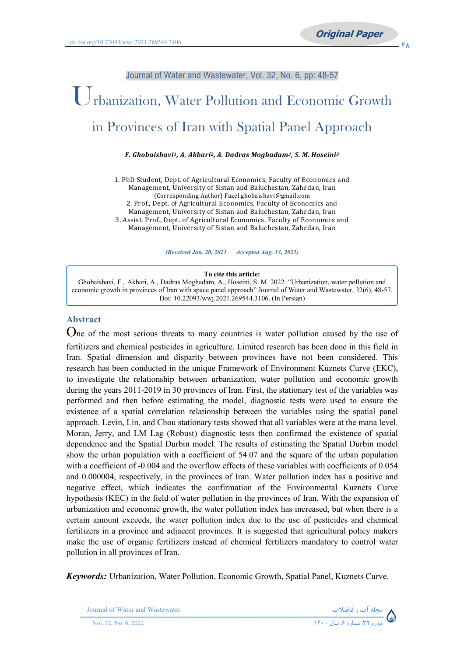Journal of Water and Wastewater, Vol. 32, No. 6, pp: 48-57

# Urbanization, Water Pollution and Economic Growth in Provinces of Iran with Spatial Panel Approach

*F. Ghobaishavi1, A. Akbari2, A. Dadras Moghadam3, S. M. Hoseini3*

1. PhD Student, Dept. of Agricultural Economics, Faculty of Economics and Management, University of Sistan and Baluchestan, Zahedan, Iran (Corresponding Author) Fazel.ghobaishavi@gmail.com 2. Prof., Dept. of Agricultural Economics, Faculty of Economics and Management, University of Sistan and Baluchestan, Zahedan, Iran 3. Assist. Prof., Dept. of Agricultural Economics, Faculty of Economics and Management, University of Sistan and Baluchestan, Zahedan, Iran

*(Received Jan. 20, 2021 Accepted Aug. 13, 2021)*

#### **To cite this article:**

Ghobaishavi, F., Akbari, A., Dadras Moghadam, A., Hoseini, S. M. 2022. "Urbanization, water pollution and economic growth in provinces of Iran with space panel approach" Journal of Water and Wastewater, 32(6), 48-57. Doi: 10.22093/wwj.2021.269544.3106. (In Persian)

#### **Abstract**

One of the most serious threats to many countries is water pollution caused by the use of fertilizers and chemical pesticides in agriculture. Limited research has been done in this field in Iran. Spatial dimension and disparity between provinces have not been considered. This research has been conducted in the unique Framework of Environment Kuznets Curve (EKC), to investigate the relationship between urbanization, water pollution and economic growth during the years 2011-2019 in 30 provinces of Iran. First, the stationary test of the variables was performed and then before estimating the model, diagnostic tests were used to ensure the existence of a spatial correlation relationship between the variables using the spatial panel approach. Levin, Lin, and Chou stationary tests showed that all variables were at the mana level. Moran, Jerry, and LM Lag (Robust) diagnostic tests then confirmed the existence of spatial dependence and the Spatial Durbin model. The results of estimating the Spatial Durbin model show the urban population with a coefficient of 54.07 and the square of the urban population with a coefficient of -0.004 and the overflow effects of these variables with coefficients of 0.054 and 0.000004, respectively, in the provinces of Iran. Water pollution index has a positive and negative effect, which indicates the confirmation of the Environmental Kuznets Curve hypothesis (KEC) in the field of water pollution in the provinces of Iran. With the expansion of urbanization and economic growth, the water pollution index has increased, but when there is a certain amount exceeds, the water pollution index due to the use of pesticides and chemical fertilizers in a province and adjacent provinces. It is suggested that agricultural policy makers make the use of organic fertilizers instead of chemical fertilizers mandatory to control water pollution in all provinces of Iran.

*Keywords:* Urbanization, Water Pollution, Economic Growth, Spatial Panel, Kuznets Curve.

Journal of Water and Wastewater **-**

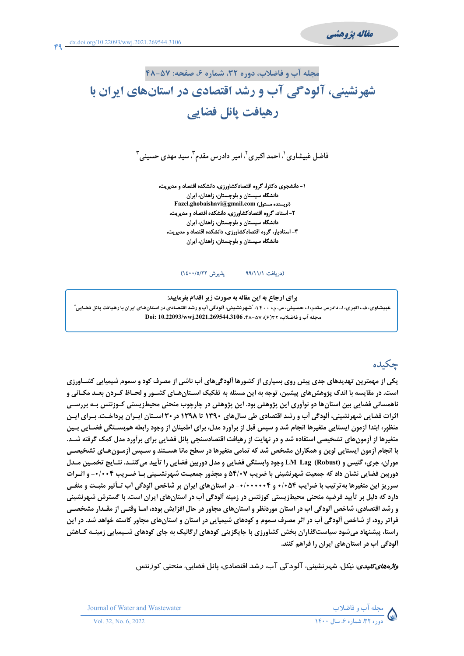مقاله يژوهشي

مجله آب و فاضلاب، دوره 32، شماره ۶، صفحه: ۵۷-۴۸

# شهرنشینی، آلودگی آب و رشد اقتصادی در استانهای ایران با رهیافت پانل فضایی

فاضل غبیشاوی`، احمد اکبری ّ، امیر دادرس مقدم ّ. سید مهدی حسینی ّ

۱- دانشجوی دکترا، گروه اقتصادکشاورزی، دانشکده اقتصاد و مدیریت، دانشگاه سیستان و بلوچستان، زاهدان، ایران Fazel.ghobaishavi@gmail.com (نویسنده مسئول) ۲- استاد، گروه اقتصادکشاورزی، دانشکده اقتصاد و مدیریت، دانشگاه سیستان و بلوچستان، زاهدان، ایران ۳- استادیار، گروه اقتصادکشاورزی، دانشکده اقتصاد و مدیریت، دانشگاه سیستان و بلوچستان، زاهدان، ایران

#### پذیرش ۱۶/۱/۷۲۱) (دريافت ٩٩/١١/١

برای ارجاع به این مقاله به صورت زیر اقدام بفرمایید: غبیشاوی، ف، اکبری، ا،، دادرس مقدم، ا،، حسینی، س. م.، ۱۴۰۰، ؒشهرنشینی، آلودگی آب و رشد اقتصادی در استانهای ایران با رهیافت پانل فضایی ؒ مجله آب و فاضلاب، ٢٢(٤)، ٥٧-٢٨. Doi: 10.22093/wwj.2021.269544.3106

# جكىدە

یکی از مهمترین تهدیدهای جدی پیش روی بسیاری از کشورها آلودگیهای آب ناشی از مصرف کود و سموم شیمیایی کشـاورزی است. در مقایسه با اندک پژوهش۵های پیشین، توجه به این مسئله به تفکیک اسـتان۱عـای کشـور و لحـاظ کـردن بعـد مکـانی و ناهمسانی فضایی بین استانها دو نوآوری این پژوهش بود. این پژوهش در چارچوب منحنی محیطزیستی کـوزنتس بـه بررسـی اثرات فضایی شهرنشینی، اَلودگی اَب و رشد اقتصادی طی سالهای ۱۳۹۰ تا ۱۳۹۸ در ۳۰ اسـتان ایـران پرداخـت. بـرای ایـن منظور، ابتدا آزمون ایستایی متغیرها انجام شد و سپس قبل از برآورد مدل، برای اطمینان از وجود رابطه هم بسـتگی فضـایی بـین متغيرها از أزمون هاي تشخيصي استفاده شد و در نهايت از رهيافت اقتصادسنجي يانل فضايي براي برأورد مدل كمك گرفته شـد. با انجام اَزمون ایستایی لوین و همکاران مشخص شد که تمامی متغیرها در سطح مانا هسـتند و سـپس اَزمـونِهـای تشخیصـی موران، جري، كتيس و LM Lag (Robust) وجود وابستگي فضايي و مدل دوربين فضايي را تأييد ميكننـد. نتـايج تخمـين مـدل دوربین فضایی نشان داد که جمعیت شبهرنشینی با ضریب ۵۴/۰۷ و مجذور جمعیت شبهرنشسینی بسا ضبریب ۶+۱/۰+ و اثبرات سرریز این متغیرها به تر تیب با ضرایب ۰/۰۵۴ و ۰/۰۰۰۰۴۴- در استانهای ایران بر شاخص آلودگی آب تـأثیر مثبـت و منفـی دارد که دلیل بر تأیید فرضیه منحنی محیطزیستی کوزنتس در زمینه آلودگی آب در استانهای ایران است. با گسترش شهرنشینی و رشد اقتصادی، شاخص اَلودگی اَب در استان موردنظر و استان های مجاور در حال افزایش بوده، امـا وقتـی از مقـدار مشخصــی فراتر رود، از شاخص ألودگی أب در اثر مصرف سموم و کودهای شیمیایی در استان و استانهای مجاور کاسته خواهد شد. در این راستا، پیشنهاد میشود سیاستگذاران بخش کشاورزی با جایگزینی کودهای ارگانیک به جای کودهای شـیمیایی زمینـه کـاهش آلودگی آب در استان های ایران را فراهم کنند.

*واڈەھای کلیدی*: نیکل، شہرنشینی، آلودگی آب، *ر*شد اقتصادی، پانل فضایی، منحنی کوزنتس



Journal of Water and Wastewater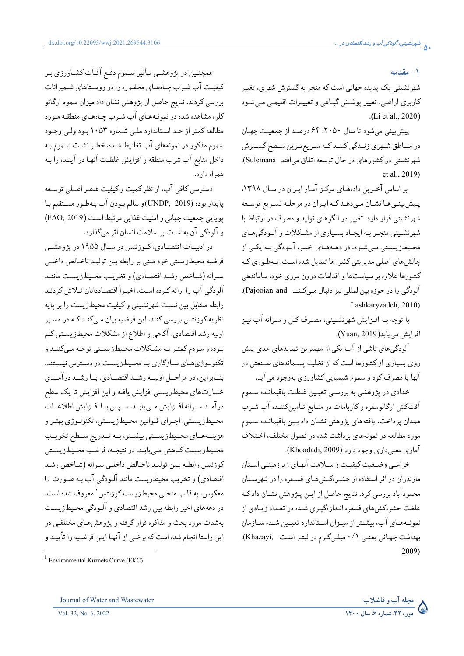١ - مقدمه

شهرنشینی یک پدیده جهانی است که منجر به گسترش شهری، تغییر کاربري اراضي، تغيير يوشش گيـاهي و تغييـرات اقليمـي مـيشـود .(Li et al., 2020)

پیش بینی می شود تا سال ۲۰۵۰، ۶۴ درصد از جمعیت جهان در منــاطق شــهري زنــدگي كننــد كــه ســريع تــرين ســطح گســترش شهرنشيني در كشورهاي در حال توسعه اتفاق مي افتد Sulemana). et al., 2019)

بر اساس آخرین دادههای مرکز آمار ایران در سال ۱۳۹۸، یسش بینے ها نشیان مے دهید کیه ایپران در مرحلیه تسیر یع توسیعه شهرنشینی قرار دارد. تغییر در الگوهای تولید و مصرف در ارتباط با شهرنشینی منجر به ایجـاد بسـیاری از مشـکلات و آلـودگیهـای محـیطزیسـتی مـی شـود. در دهـههـای اخیـر، آلـودگی بـه یکـی از چالش های اصلی مدیریتی کشورها تبدیل شده است. بـهطـوری کـه کشورها علاوه بر سیاستها و اقدامات درون مرزی خود، ساماندهی آلودگی را در جوزہ بین المللی نیز دنبال مے کننـد Pajooian and). Lashkarvzadeh. 2010)

با توجه بـه افـزايش شهرنشـيني، مصـرف كـل و سـرانه آب نيـز افزايش مي يابد(Yuan, 2019).

آلودگی های ناشی از آب یکی از مهمترین تهدیدهای جدی پیش روی بسیاری از کشورها است که از تخلیـه پسـماندهای صـنعتی در .<br>آبها يا مصرف کود و سموم شيميايي کشاورزي بهوجود مي آيد.

خدادی در پژوهشی به بررسبی تعیمین غلظت باقیمانـده سـموم آفتکش ارگانوسفره و کاربامات در منـابع تـأمینکننـده آب شـرب همدان پرداخت. يافتههاي پژوهش نشـان داد بـين باقيمانـده سـموم مورد مطالعه در نمونههای برداشت شده در فصول مختلف، اختلاف آماري معنى داري وجود دارد (Khoadadi, 2009).

خزاعبی وضعیت کیفیت و سیلامت آبهای زیرزمینبی استان مازندران در اثر استفاده از حشـرهکـش هـای فسـفره را در شهرسـتان محمودآباد بررسی کرد. نتایج حاصل از ایـن پـژوهش نشـان دادکـه غلظت حشرهکش های فسفره انـدازهگیـری شـده در تعـداد زیـادی از نمونـههـاي آب، بيشـتر از ميـزان اسـتاندارد تعيـين شـده سـازمان بهداشت جهانی یعنی ۰/۱ میلیگرم در لیتر است ,Khazayi). 2009)

همچنـین در پژوهشـي تـأثیر سـموم دفـع آفـات کشـاورزي بـر کیفیت آب شـرب چـاههـای محفـوره را در روسـتاهای شـمیرانات بررسی کردند. نتایج حاصل از پژوهش نشان داد میزان سموم ارگانو کلره مشاهده شده در نمونـههـای آب شـرب چـاههـای منطقـه مـورد مطالعه کمتر از حـد اسـتاندارد ملـي شـماره ۱۰۵۳ بـود ولـي وجـود سموم مذکور در نمونههای آب تغلیظ شده، خطـر نشـت سـموم بـه داخل منابع آب شرب منطقه و افزايش غلظت آنهـا در آينـده را بـه همراه دارد.

دسترسی کافی آب، از نظر کمیت و کیفیت عنصر اصلی توسعه پايدار بوده (UNDP, 2019)و سالم بـودن آب بـهطـور مسـتقيم بـا يويايي جمعيت جهاني و امنيت غذايي مرتبط است (FAO, 2019) و آلودگی آن به شدت بر سلامت انسان اثر میگذارد.

در ادبیـات اقتصـادی، کـوزنتس در سـال ۱۹۵۵ در پژوهشـی فرضيه محيطزيستي خود مبني بر رابطه بين توليد ناخـالص داخلـي سرانه (شـاخص رشـد اقتصـادي) و تخريـب محـيطزيسـت ماننـد آلودگی آب را ارائه کـرده اسـت. اخیـراً اقتصـاددانان تـلاش کردنـد رابطه متقابل بين نسبت شهرنشيني وكيفيت محيط زيست را بر پايه نظریه کوزنتس بررسی کنند. این فرضیه بیان مـیکنـد کـه در مسـیر اولیه رشد اقتصادی، آگاهی و اطلاع از مشکلات محیطزیستی کم بوده و مردم کمتر بـه مشـکلات محـیطزیسـتی توجـه مـیکننـد و تکنولـوژی هـای سـازگاری بـا محـیطزیسـت در دسـترس نیسـتند. بنـابراین، در مراحـل اولیـه رشـد اقتصـادي، بـا رشـد درآمـدي خسارتهای محیطزیستی افزایش یافته و این افزایش تا یک سطح درآمـد سـرانه افـزايش مـى يابـد. سـيس بـا افـزايش اطلاعـات محـيطـزيســتي، اجــراي قــوانين محـيطـزيســتي، تكنولــوژي بهتــر و هزینــههــای محــیطزیســتی بیشــتر، بــه تــدریج ســطح تخریــب محیطزیست کیاهش مے پابید. در نتیجیه، فرضیه محیطزیستی کوزنتس رابطـه بـین تولیـد ناخـالص داخلـی سـرانه (شـاخص رشـد اقتصادي) و تخريب محيطزيست مانند آلـودگي آب بـه صـورت U معکوس، به قالب منحني محيطزيست کوزنتس \ معروف شده است. در دهههای اخیر رابطه بین رشد اقتصادی و آلـودگی محـیطـزیسـت بهشدت مورد بحث و مذاکره قرار گرفته و پژوهش هـای مختلفـی در این راستا انجام شده است که برخـی از آنهـا ایـن فرضـیه را تأییـد و

 $1$  Environmental Kuznets Curve (EKC)



Vol. 32, No. 6, 2022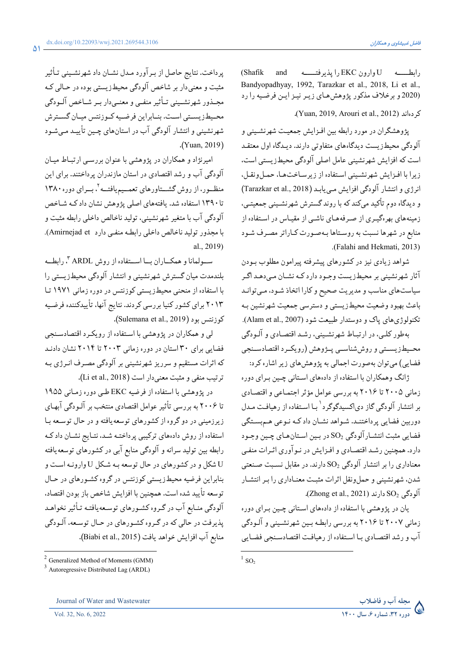(Shafik and رابطــــه U وارون EKC را پذیرفتـــــه Bandyopadhyay, 1992, Tarazkar et al., 2018, Li et al., (2020 و برخلاف مذکور پژوهش های زیر نیز این فرضیه را رد

كر دواند (Yuan, 2019, Arouri et al., 2012).

یژوهشگران در مورد رابطه بین افـزایش جمعیـت شهرنشـینی و ۔<br>آلودگی محیطزیست دیدگاههای متفاوتی دارند. دیـدگاه اول معتقـد است که افزایش شهرنشینی عامل اصلی آلودگی محیط زیستی است، زيرا با افـزايش شهرنشـيني اسـتفاده از زيرسـاخت هـا، حمـل ونقـل، انرژی و انتشار آلودگی افزایش می یابد (Tarazkar et al., 2018) و دیدگاه دوم تأکید میکند که با روند گسترش شهرنشینی جمعیتـی، زمینههای بهرهگیـری از صـرفههـای ناشـی از مقیـاس در اسـتفاده از منابع در شهرها نسبت به روستاها بهصورت كـاراتر مصـرف شـود (Falahi and Hekmati, 2013).

شواهد زیادی نیز در کشورهای پیشرفته پیرامون مطلوب بـودن آثار شهرنشینی بر محیطزیست وجـود دارد کـه نشـان مـىدهـد اگـر سیاستهای مناسب و مدیریت صحیح و کارا اتخاذ شـود، مـیتوانـد باعث بهبود وضعيت محيطزيستبي و دسترسي جمعيت شهرنشين بـه تکنولوژي هاي ياک و دوستدار طبيعت شود (Alam et al., 2007).

بهطور کلبي، در ارتبـاط شهرنشـيني، رشـد اقتصـادي و آلـودگي محسطزيستبي و روش شناسبي پيۋوهش (رويكيرد اقتصادسينجي فضایی) می توان بهصورت اجمالی به پژوهش های زیر اشاره کرد:

ژانگ وهمکاران با استفاده از دادههای استانی چـین بـرای دوره زمانی ۲۰۰۵ تا ۲۰۱۶ به بررسی عوامل مؤثر اجتمـاعی و اقتصـادی بر انتشار آلودگی گاز دیاکسیدگوگرد ٰ بـا اسـتفاده از رهیافـت مـدل دوربین فضایی پرداختنـد. شـواهد نشـان داد کـه نـوعی هـمبسـتگی فضايي مثبت انتشـارآلودگي SO2 در بـين اسـتانهـاي چـين وجـود دارد. همچنین رشـد اقتصـادی و افـزایش در نـوآوری اثـرات منفـی معناداری را بر انتشار آلودگی SO2 دارند. در مقابل نسبت صنعتی شدن، شهرنشینی و حملونقل اثرات مثبت معنـاداری را بـر انتشـار .(Zhong et al., 2021) دارند (Zhong et al., 2021).

يان در پژوهشي با استفاده از دادههاي اسـتاني چـين بـراي دوره زمانی ۲۰۰۷ تا ۲۰۱۶ به بررسی رابطـه بـین شهرنشـینی و آلـودگی آب و رشد اقتصادي بـا اسـتفاده از رهيافـت اقتصادسـنجي فضـايي

مجله آب و فاضلاب<br>۵) دوره ۳۲.شماره ۶.سال ۱۴۰۰

پرداخت. نتایج حاصل از بـرآورد مـدل نشـان داد شهرنشـینی تـأثیر مثبت و معنی دار بر شاخص آلودگی محیطزیستی بوده در حـالی کـه مجــذور شهرنشــيني تــأثير منفــي و معنــي،دار بــر شــاخص آلــودگي محـيطزيسـتي اسـت. بنـابراين فرضـيه كـوزنتس ميـان گسـترش شهرنشینی و انتشار آلودگی آب در استانهای چـین تأییـد مـی شـود (Yuan, 2019).

امیرنژاد و همکاران در پژوهشی با عنوان بررسمی ارتباط میان آلودگی آب و رشد اقتصادی در استان مازندران پرداختند. برای این منظور، از روش گشــتاورهاى تعمــيميافتــه <sup>٢</sup>، بــراى دوره ١٣٨٠ تا ۱۳۹۰ استفاده شد. یافتههای اصلی پژوهش نشان دادکه شـاخص آلودگي آب با متغير شهرنشيني، توليد ناخالص داخلي رابطه مثبت و با مجذور توليد ناخالص داخلي رابطه منفي دارد Amirnejad et). al., 2019)

سـولمانا و همكــاران بــا اســتفاده از روش ARDL "، رابطــه بلندمدت میان گسترش شهرنشینی و انتشار آلودگی محیطزیستی را با استفاده از منحنی محیط زیستی کوزنتس در دوره زمانی ۱۹۷۱ تا ۲۰۱۳ برای کشور کنیا بررسی کردند. نتایج آنها، تأییدکننده فرضیه كوزنتس بود (Sulemana et al., 2019).

لبي و همكاران در يژوهشي با استفاده از رويكرد اقتصادسنجي فضایی برای ۳۰ استان در دوره زمانی ۲۰۰۳ تا ۲۰۱۴ نشان دادنـد که اثرات مستقیم و سرریز شهرنشینی بر آلودگی مصـرف انـرژی بـه ترتيب منفى و مثبت معنى دار است (Li et al., 2018).

در پژوهشی با استفاده از فرضیه EKC طبی دوره زمـانی ۱۹۵۵ تا ۲۰۰۶ به بررسی تأثیر عوامل اقتصادی منتخب بر آلـودگی آبهـای زیرزمینی در دو گروه از کشورهای توسعه یافته و در حال توسعه بـا استفاده از روش دادههای ترکیبی پرداختـه شـد، نتـایج نشـان دادکـه رابطه بین تولید سرانه و آلودگی منابع آبی در کشورهای توسعه یافته ت اسکل و در کشورهای در حال توسعه بـه شـکل U وارونـه اسـت و  $U$ بنابراین فرضیه محیطزیستی کوزنتس در گروه کشـورهای در حـال توسعه تأييد شده است. همچنين با افزايش شاخص باز بودن اقتصاد، آلودگی منـابع آب در گـروه كشـورهاي توسـعهيافتـه تـأثير نخواهـد یذیرفت در حالی که در گـروه کشـورهای در حـال توسـعه، آلـودگی منابع آب افزايش خواهد يافت (Biabi et al., 2015).

Journal of Water and Wastewater

Vol. 32, No. 6, 2022

 $1_{SO_2}$ 

 $2$  Generalized Method of Moments (GMM)

<sup>&</sup>lt;sup>3</sup> Autoregressive Distributed Lag (ARDL)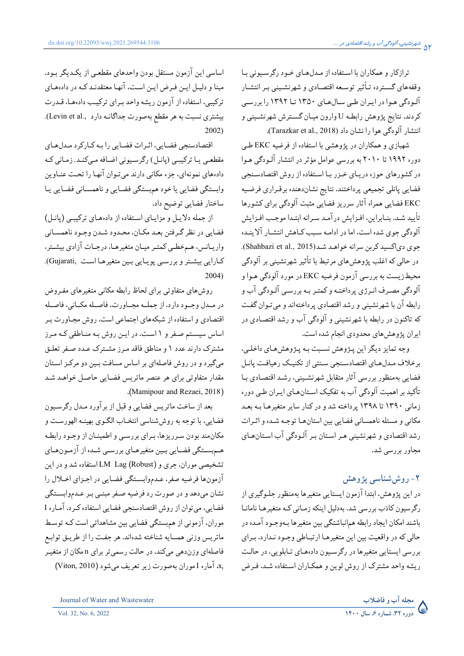ترازکار و همکاران با استفاده از مدل های خود رگرسیونی با وقفههای گسترده تـأثیر توسـعه اقتصـادی و شهرنشـینی بـر انتشـار آلـودگی هـوا در ايـران طـی سـال۱۳۵۰ یـ ۱۳۹۲ تـا ۱۳۹۲ را بررسـی كردند. نتايج پژوهش رابطه U وارون ميـان گسـترش شهرنشـيني و انتشار آلودگی هوا را نشان داد (Tarazkar et al., 2018).

شهبازی و همکاران در پژوهشی با استفاده از فرضیه EKC طبی دوره ۱۹۹۲ تا ۲۰۱۰ به بررسی عوامل مؤثر در انتشار آلـودگی هـوا در کشورهای حوزه دریای خزر با استفاده از روش اقتصادسنجی فضايي پانلي تجميعي پرداختند. نتايج نشاندهنده برقـراري فرضـيه EKC فضایی همراه آثار سرریز فضایی مثبت آلودگی برای کشورها تأمد شـد. بنـابراين، افـزايش در آمـد سـرانه ابتـدا موحـب افـزايش آلودگی جوی شده است، اما در ادامـه سـبب کـاهش انتشـار آلاینـده جوي دي اکسيد کربن سرانه خواهـد شـد(Shahbazi et al., 2015). در حالي كه اغلب پژوهش هاي مرتبط با تأثير شهرنشيني بر آلودگي محیطزیست به بررسی آزمون فرضیه EKC در مورد آلودگی هـوا و آلودگی مصرف انـرژي پرداختـه و کمتـر بـه بررسـي آلـودگي آب و رابطه آن با شهرنشینی و رشد اقتصادی پرداختهاند و می تـوان گفـت که تاکنون در رابطه با شهرنشینی و آلودگی آب و رشد اقتصادی در ایران پژوهشهای محدودی انجام شده است.

وجه تمايز ديگر اين پـژوهش نسـبت بـه پـژوهشهـاي داخلـي، برخلاف مدلهاى اقتصادسنجي سنتى از تكنيك رهيافت يانيل فضایی بهمنظور بررسی آثار متقابل شهرنشینی، رشد اقتصادی بـا تأکید بر اهمیت آلودگی آب به تفکیک استانهای ایران طبی دوره زمانی ۱۳۹۰ تا ۱۳۹۸ پرداخته شد و در کنار سایر متغیرهـا بـه بعـد مكاني و مسئله ناهمساني فضايي بين استانها توجـه شـده و اثـرات رشد اقتصادي و شهرنشيني هـر اسـتان بـر آلـودگي آب اسـتانهـاي مجاور بررسی شد.

# ۲- روششناسی یژوهش

در این پژوهش، ابتدا آزمون ایستایی متغیرها بهمنظور جلـوگیری از رگرسیون کاذب بررسی شد. بهدلیل اینکه زمـانی کـه متغیرهـا نامانـا باشند امکان ایجاد رابطه همانباشتگی بین متغیرها بـهوجـود آمـده در حالي كه در واقعيت بين اين متغيرهـا ارتبـاطي وجـود نـدارد. بـراي بررسی ایستایی متغیرها در رگرسیون دادههای تـابلویی، در حالـت ریشه واحد مشترک از روش لوین و همکاران استفاده شد. فرض

اساسی این آزمون مستقل بودن واحدهای مقطعی از یکدیگر بـود. مبنا و دلیـل ایـن فـرض ایـن اسـت، آنهـا معتقدنـد کـه در دادههـای ترکيبي، استفاده از آزمون ريشه واحد بـراي ترکيب دادههـا، قــدرت بیشتری نسبت به هر مقطع بهصورت جداگانـه دارد (.Levin et al).  $2002)$ 

اقتصادسنجي فضايي، اثيرات فضايي را بـه كـاركرد مـدل هـاي مقطعبي يـا تركيبـي (يانـل) رگرسـيوني اضـافه مـي كنـد. زمـاني كـه دادههای نمونهای، جزء مکانی دارند می تـوان آنهـا را تحـت عنــاوین وابستگي فضايي يا خود همېستگي فضـايي و ناهمسـاني فضـايي يـا ساختار فضايي توضيح داد.

از جمله دلایل و مزایای استفاده از دادههای ترکیبی (یانیل) فضايي در نظر گرفتن بعـد مكـان، محـدود شـدن وجـود ناهمسـاني واریـانس، هـمخطـي كمتـر ميـان متغيرهـا، درجـات آزادي بيشـتر، كارايي بيشتر وبررسي پويايي بين متغيرها است ,Gujarati).  $2004)$ 

روش های متفاوتی برای لحاظ رابطه مکانی متغیرهای مفـروض در مـدل وجـود دارد. از جملــه مجــاورت، فاصــله مكــاني، فاصــله اقتصادی و استفاده از شبکههای اجتماعی است. روش مجـاورت بـر اساس سیستم صفر و ۱ است. در ایـن روش بـه منـاطقی کـه مـرز مشترک دارند عدد ۱ و مناطق فاقد مـرز مشـترک عـدد صـفر تعلـق می گیرد و در روش فاصلهای بر اساس مسافت بـین دو مرکـز اسـتان مقدار متفاوتي براي هر عنصر ماتريس فضايي حاصل خواهـد شـد (Mamipour and Rezaei, 2018).

بعد از ساخت ماتريس فضايي و قبل از برآورد مـدل رگرسـيون فضایی، با توجه به روششناسی انتخـاب الگـوی بهینـه الهورسـت و مکان مند بودن سـر ریز ها، بـر ای بر رسـی و اطمینــان از وجـود رابطـه همبستگی فضایی بین متغیرهـای بررسـی شـده از آزمـونهـای تشخیصی موران، جری و (Robust) LM Lagاستفاده شد و در این آزمونها فرضيه صفر، عـدموابسـتگي فضـايي در اجـزاي اخـلال را نشان میدهد و در صورت رد فرضیه صـفر مبنـبي بـر عـدموابسـتگي فضایی، می توان از روش اقتصادسنجی فضایی استفاده کـرد. آمـاره I موران، آزمونی از همبستگی فضایی بین مشاهداتی است کـه توسـط ماتريس وزني همسايه شناخته شدهاند. هر جفت را از طريــق توابــع فاصلهای وزندهی میکند. در حالت رسمی تر برای n مکان از متغیـر Xi، آماره I موران بهصورت زير تعريف مي شود (Viton, 2010)

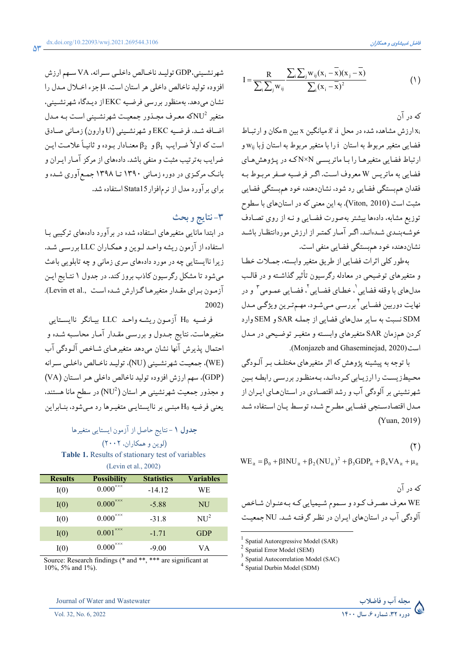$$
I = \frac{R}{\sum_{i}\sum_{j}w_{ij}}\frac{\sum_{i}\sum_{j}w_{ij}(x_i - \overline{x})(x_j - \overline{x})}{\sum_{i}(x_i - \overline{x})^2}
$$
(1)

که در آن

ارزش مشاهده شده در محل i، تم میانگین x بین n مکان و ارتباط x فضایی متغیر مربوط به استان j را با متغیر مربوط به استان j با wij و ارتباط فضایی متغیرهـا را بـا ماتریسـی N×N کـه در پـژوهش هـای فضائي به ماتريس W معروف است. اگر فرضيه صفر مربـوط بـه فقدان همبستگي فضايي رد شود، نشاندهنده خود همبستگي فضايي مثبت است (Viton, 2010). به این معنی که در استانهای با سطوح توزیع مشابه، دادهها بیشتر بهصورت فضایی و نـه از روی تصـادف خوشهبندي شدهاند. اگر آمار كمتر از ارزش موردانتظار باشد نشاندهنده خود هم بستگی فضایی منفی است.

بهطور كلي اثرات فضايي از طريق متغير وابسته، جملات خطا و متغیرهای توضیحی در معادله رگرسیون تأثیر گذاشـته و در قالـب مدلهاي با وقفه فضايي '، خطـاي فضـايي '، فضـايي عمـومي " و در نهايت دوربين فضـايي کبررسـي مـيشـود. مهـمتـرين ويژگـي مـدل SDM نسبت به سایر مدلهای فضایی از جملـه SAR و SEM وارد كردن همزمان SAR متغيرهاي وابسته و متغيـر توضـيحي در مـدل است (Monjazeb and Ghaseminejad, 2020).

با توجه به پیشینه پژوهش که اثر متغیرهای مختلـف بـر آلـودگی محیطزیست را ارزیابی کردهاند، بهمنظور بررسبی رابطـه بـین شهرنشینی بر آلودگی آب و رشد اقتصادی در استانهای ایران از مـدل اقتصادسـنجي فضـايي مطـرح شـده توسـط يـان اسـتفاده شـد (Yuan, 2019)

 $(5)$ 

$$
WE_{it} = \beta_0 + \beta 1NU_{it} + \beta_2 (NU_{it})^2 + \beta_3 GDP_{it} + \beta_4 VA_{it} + \mu_{it}
$$

که در آن WE معرف مصرف کـود و سـموم شـيميايي کـه بـهعنـوان شـاخص آله دگے, آب در استانهای ایـران در نظـر گرفتـه شـد. NU جمعیـت

Spatial Autoregressive Model (SAR)

- $3$  Spatial Autocorrelation Model (SAC)
- $4 \overline{\text{Spatial}\text{ Durbin} \text{ Model (SDM)}}$



شهرنشيني،GDP توليد ناخالص داخليي سرانه، VA سهم ارزش افزوده توليد ناخالص داخلي هر استان است. H جزء اخلال مـدل را نشان می دهد. به منظور بررسی فرضیه EKC از دیـدگاه شهرنشـینی، متغیر NU<sup>2</sup>که معـرف مجـذور جمعیـت شهرنشـینی اسـت بـه مـدل اضافه شد. فرضيه EKC و شهرنشيني (U وارون) زماني صادق است که اولاً ضـرایب  $\beta_1$ و  $\beta_2$  معنـادار بـوده و ثانیـاً علامـت ایـن ضرایب بهترتیب مثبت و منفی باشد. دادههای از مرکز آمـار ایـران و بانک مرکزی در دوره زمانی ۱۳۹۰ تا ۱۳۹۸ جمع آوری شده و برای برآورد مدل از نرمافزار Stata15 استفاده شد.

### ٣-نتايج و بحث

در ابتدا مانایی متغیرهای استفاده شده در برآورد دادههای ترکیبی بـا استفاده از آزمون ریشه واحـد لـوین و همکـاران LLC بررسـم شـد. زیرا ناایستایی چه در مورد دادههای سری زمانی و چه تابلویی باعث میشود تا مشکل رگرسیون کاذب بروز کند. در جدول ۱ نتـایج ایـن آزمون برای مقدار متغیرهاگزارش شده است .Levin et al).  $2002)$ 

فرضيه H0 آزمون ريشـه واحـد LLC بيـانگر ناايسـتايي متغیرهاست. نتایج جـدول و بررسـی مقـدار آمـار محاسـبه شـده و احتمال پذیرش آنها نشان میٖدهد متغیرهـای شـاخص آلـودگی آب (WE)، جمعيت شهرنشيني (NU)، توليـد ناخـالص داخلـي سـرانه (GDP). سهم ارزش افزوده توليد ناخالص داخلي هـر اسـتان (VA) و مجذور جمعیت شهرنشینی هر استان (NU<sup>2</sup>) در سطح مانا هستند. یعنی فرضیه H0 مبنـی بر ناایستایـی متغیـرها رد مـیشود، بنـابراین

## جدول ١ -نتايج حاصل از آزمون ايستايي متغيرها (لوين و همكاران، ٢٠٠٢)

Table 1. Results of stationary test of variables (Levin et al., 2002)

| <b>Results</b> | <b>Possibility</b>             | <b>Statistics</b> | <b>Variables</b> |  |
|----------------|--------------------------------|-------------------|------------------|--|
| I(0)           | $0.000^{\times \times \times}$ | $-14.12$          | WЕ               |  |
| I(0)           | $0.000^{\times\times\times}$   | $-5.88$           | NU               |  |
| I(0)           | $0.000^{\times\times\times}$   | $-31.8$           | NU <sup>2</sup>  |  |
| I(0)           | $0.001^{\times\times\times}$   | $-1.71$           | <b>GDP</b>       |  |
| I(0)           | $0.000^{\times \times \times}$ | $-9.00$           | VА               |  |

Source: Research findings (\* and \*\*, \*\*\* are significant at 10%, 5% and 1%).

Journal of Water and Wastewater

Vol. 32, No. 6, 2022

 $2$  Spatial Error Model (SEM)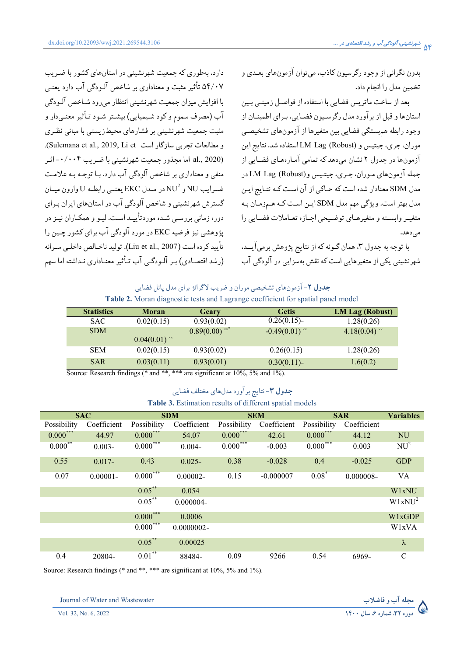بدون نگرانی از وجود رگرسیون کاذب، می توان آزمونهای بعـدی و تخمين مدل را انجام داد.

بعد از ساخت ماتریس فضایی با استفاده از فواصـل زمینـی بـین استان ها و قبل از پر آورد مدل رگرسیون فضایی، پیرای اطمینیان از وجود رابطه هم بستگي فضايي بين متغيرها از آزمونهاي تشخيصبي موران، جري، جيتيس و LM Lag (Robust) استفاده شد. نتايج اين آزمونها در جدول ۲ نشان می دهد که تمامی آمـار،هـای فضـایی از جمله آزمون های موران، جيري، جيتيس و LM Lag (Robust) در مدل SDM معنادار شده است که حـاکی از آن اسـت کـه نتـایج ایـن مدل بهتر است. ویژگی مهم مدل SDM ایـن اسـت کـه هـمزمـان بـه متغيبه وابسته و متغيرهـاي توضـيحي اجـازه تعـاملات فضـايي را مې دهد.

با توجه به جدول ۳، همان گـونه كه از نتايج پژوهش برميآيــد، شهرنشینی یکی از متغیرهایی است که نقش بهسزایی در آلودگی آب

دارد. بهطوری که جمعیت شهرنشینی در استانهای کشور با ضریب ۵۴/۰۷ تأثیر مثبت و معناداری بر شاخص آلبودگی آب دارد بعنبی با افزایش میزان جمعیت شهرنشینی انتظار میرود شـاخص آلـودگی آب (مصرف سموم و کود شیمیایی) بیشتر شـود تـأثیر معنـی،دار و مثبت جمعیت شهرنشینی بر فشارهای محیط زیستی با مبانی نظـری و مطالعات تحربی سازگار است Sulemana et al., 2019, Li et). al., 2020) اما مجذور جمعیت شهرنشینی با ضـریب ۰/۰۰۴–اثـر منفی و معناداری بر شاخص آلودگی آب دارد. بـا توجـه بـه علامـت ضرايب NU و NU در مدل EKC يعني رابطـه U وارون ميـان گسترش شهرنشینی و شاخص آلودگی آب در استانهای ایران به ای دوره زمانی پررسے شیده موردتأیید است. لیپو و همکیاران نیز در یژوهشی نیز فرضیه EKC در مورد آلودگی آب برای کشور چـین را تأييد كر ده است (Liu et al., 2007). توليد ناخـالص داخلـي سـرانه (رشد اقتصـادی) بـر آلـودگـی آب تـأثیر معنـاداری نـداشته اما سهم

#### جدول ۲- آزمونهای تشخیصی موران و ضریب لاگرانژ برای مدل یانل فضایی Table 2. Moran diagnostic tests and Lagrange coefficient for spatial panel model

|                  | <b>Statistics</b><br>Moran |                                                     | Geary                                    | <b>Getis</b>         | LM Lag (Robust)             |
|------------------|----------------------------|-----------------------------------------------------|------------------------------------------|----------------------|-----------------------------|
|                  | <b>SAC</b>                 | 0.02(0.15)                                          | 0.93(0.02)                               | 0.26(0.15)           | 1.28(0.26)                  |
|                  | <b>SDM</b>                 |                                                     | $0.89(0.00)$ <sup>xx*</sup>              | $-0.49(0.01)^{**}$   | 4.18 $(0.04)$ <sup>**</sup> |
|                  |                            | $0.04(0.01)$ <sup>**</sup>                          |                                          |                      |                             |
|                  | <b>SEM</b>                 | 0.02(0.15)                                          | 0.93(0.02)                               | 0.26(0.15)           | 1.28(0.26)                  |
|                  | <b>SAR</b>                 | 0.03(0.11)                                          | 0.93(0.01)                               | 0.30(0.11)           | 1.6(0.2)                    |
| $\sim$<br>$\sim$ | $\sim$ $\sim$              | the state of the state of a<br>$\sim$ $\sim$ $\sim$ | $\sim$<br>$\cdots$ $\cdots$<br>$-\wedge$ | $\sim$ $\sim$ $\sim$ |                             |

Source: Research findings (\* and \*\*, \*\*\* are significant at 10%, 5% and 1%).

# جدول ۳- نتايج برآورد مدلهاي مختلف فضايي

#### Table 3. Estimation results of different spatial models

| <b>SAC</b>  |             | <b>SDM</b>  |               | <b>SEM</b>  |             | <b>SAR</b>  |              | <b>Variables</b>   |
|-------------|-------------|-------------|---------------|-------------|-------------|-------------|--------------|--------------------|
| Possibility | Coefficient | Possibility | Coefficient   | Possibility | Coefficient | Possibility | Coefficient  |                    |
| $0.000***$  | 44.97       | $0.000***$  | 54.07         | $0.000***$  | 42.61       | $0.000***$  | 44.12        | <b>NU</b>          |
| $0.000***$  | $0.003 -$   | $0.000***$  | $0.004 -$     | $0.000***$  | $-0.003$    | $0.000***$  | 0.003        | NU <sup>2</sup>    |
| 0.55        | $0.017 -$   | 0.43        | $0.025 -$     | 0.38        | $-0.028$    | 0.4         | $-0.025$     | <b>GDP</b>         |
| 0.07        | $0.00001 -$ | $0.000***$  | $0.00002 -$   | 0.15        | $-0.000007$ | $0.08*$     | $0.000008 -$ | VA                 |
|             |             | $0.05***$   | 0.054         |             |             |             |              | W1xNU              |
|             |             | $0.05***$   | $0.000004 -$  |             |             |             |              | W1xNU <sup>2</sup> |
|             |             | $0.000***$  | 0.0006        |             |             |             |              | <b>W1xGDP</b>      |
|             |             | $0.000***$  | $0.0000002 -$ |             |             |             |              | W <sub>1</sub> xVA |
|             |             | $0.05***$   | 0.00025       |             |             |             |              | $\lambda$          |
| 0.4         | 20804-      | $0.01***$   | 88484-        | 0.09        | 9266        | 0.54        | 6969-        | $\mathsf{C}$       |

Source: Research findings (\* and \*\*, \*\*\* are significant at 10%, 5% and 1%).

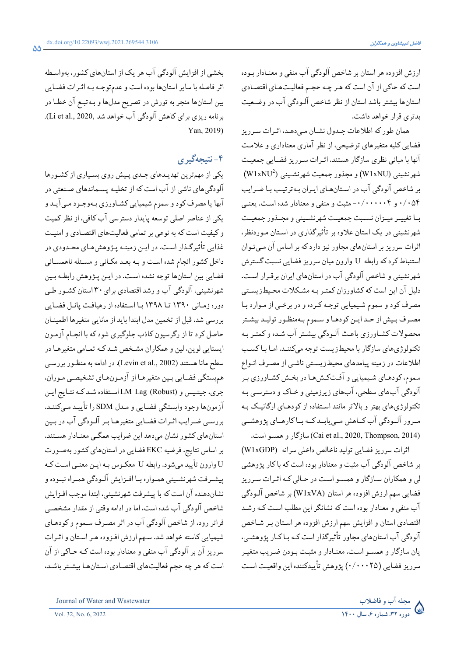ارزش افزوده هر استان بر شاخص آلودگی آب منفی و معنـادار بـوده است که حاکی از آن است که هر چـه حجـم فعالیـتهـای اقتصـادی استانها بیشتر باشد استان از نظر شاخص آلـودگی آب در وضـعیت بدتری قرار خواهد داشت.

همان طور که اطلاعات جـدول نشـان مـى،دهـد، اثـرات سـرريز فضایی کلیه متغیرهای توضیحی، از نظر آماری معناداری و علامت آنها با مبانی نظری سازگار هستند. اثـرات سـرریز فضـایی جمعیـت شهرنشيني (W1xNU) و مجذور جمعيت شهرنشـيني (W1xNU2) بر شاخص آلودگی آب در استانهای ایران بهترتیب با ضرایب ۰/۰۵۴ و ۰/۰۰۰۰۰- مثبت و منفی و معنادار شده است. یعنبی بـا تغييـر ميـزان نسـبت جمعيـت شهرنشـيني و مجـذور جمعيـت شهرنشینی در یک استان علاوه بر تأثیرگذاری در اسـتان مـوردنظر. اثرات سرریز بر استانهای مجاور نیز دارد که بر اساس آن مـی تـوان استنباط کرد که رابطه U وارون میان سرریز فضایی نسبت گسترش شهرنشینی و شاخص آلودگی آب در استانهای ایران برقـرار اسـت. دلیل آن این است که کشاورزان کمتر به مشکلات محیطزیستی مصرف کود و سموم شیمیایی توجه کـرده و در برخـی از مـوارد بـا مصرف بـيش از حـد ايـن كودهـا و سـموم بـهمنظـور توليـد بيشـتر محصولات کشاورزي باعث آلـودگي بيشـتر آب شـده و کمتـر بـه تکنولوژیهای سازگار با محیطزیست توجه میکننـد، امـا بـاکسـب اطلاعات در زمینه پیامدهای محیط زیستی ناشـی از مصـرف انـواع سموم، کودهـاي شـيميايي و آفـتکـش١هـا در بخـش کشـاورزي بـر ۔<br>آلودگی آبھای سطحی، آبھای زیرزمینی و خـاک و دسترسـی بـه تکنولوژیهای بهتر و بالاتر مانند استفاده از کودهـای ارگانیـک بـه مىرور آلـودگى آب كـاهش مـىيابـدكــه بـاكارهــاي پژوهشــى (Cai et al., 2020, Thompson, 2014) سازگار و همسو است.

اثرات سرريز فضايي توليد ناخالص داخلي سرانه (W1xGDP) بر شاخص آلودگی آب مثبت و معنادار بوده است که با کار پژوهشی لي و همكاران سازگار و همسو است در حـالي كـه اثـرات سـرريز فضايي سهم ارزش افزوده هر استان (W1xVA) بر شاخص آلـودگي آب منفی و معنادار بوده است که نشانگر این مطلب است کـه رشـد اقتصادی استان و افزایش سهم ارزش افزوده هر اسـتان بـر شـاخص آلودگی آب استانهای مجاور تأثیرگذار است کـه بـاکـار یژوهشـی، يان سازگار و همسـو اسـت. معنـادار و مثبـت بـودن ضـريب متغيـر سرريز فضايي (٠/٠٠٠٢٥) يژوهش تأييدكننده اين واقعيت است

بخشی از افزایش آلودگی آب هر یک از استانهای کشور، بهواسطه اثر فاصله با سایر استانها بوده است و عدم توجـه بـه اثـرات فضـایی بین استانها منجر به تورش در تصریح مدلها و بـهتبـع آن خطـا در برنامه ریزی برای کاهش آلودگی آب خواهد شد ,Li et al., 2020). Yan. 2019).

## ۴-نتيجەگيرى

یکی از مهمترین تهدیـدهای جـدی پـیش روی بسـیاری از کشـورها آلودگیهای ناشی از آب است که از تخلیـه پسـماندهای صـنعتی در آبها یا مصرف کود و سموم شیمیایی کشـاورزی بـهوجـود مـیآیـد و یکی از عناصر اصلی توسعه پایدار دسترسی آب کافی، از نظر کمیت و کیفیت است که به نوعی بر تمامی فعالیتهای اقتصادی و امنیت غذایی تأثیرگـذار اسـت. در ایـن زمینـه پـژوهش هـای محـدودی در داخل کشور انجام شده است و بـه بعـد مکـاني و مسـئله ناهمسـاني فضایی بین استانها توجه نشده است. در ایـن پـژوهش رابطـه بـین شهرنشینی، آلودگی آب و رشد اقتصادی برای ۳۰ استان کشـور طـی دوره زمانی ۱۳۹۰ تا ۱۳۹۸ با استفاده از رهیافت پانل فضایی بررسی شد. قبل از تخمین مدل ابتدا باید از مانایی متغیرها اطمینـان حاصل کرد تا از رگرسیون کاذب جلوگیری شود که با انجـام آزمـون ایستایی لوین، لین و همکاران مشخص شـد کـه تمـامی متغیرهـا در سطح مانا هستند (Levin et al., 2002). در ادامه به منظـور بررسـي همبستگي فضايي بـين متغيرهـا از آزمـونهـاي تشخيصـي مـوران. جري، جيتيس و LM Lag (Robust) استفاده شـد كـه نتـايج ايـن آزمونها وجود وابستگي فضـايي و مـدل SDM را تأييـد مـي كننـد. بررسی ضرایب اثـرات فضـایی متغیرهـا بـر آلـودگی آب در بـین استانهای کشور نشان می دهد این ضرایب همگبی معنـادار هسـتند. بر اساس نتايج، فرضيه EKC فضايي در استانهاي كشور بهصورت U وارون تأييد ميشود. رابطه U معكـوس بـه ايـن معنـي اسـت كـه پیشـرفت شهرنشـیني همـواره بـا افـزایش آلـودگي همـراه نبـوده و نشاندهنده آن است كه با پیشرفت شهرنشینی، ابتدا موجب افـزایش شاخص آلودگی آب شده است، اما در ادامه وقتی از مقدار مشخصبی فراتر رود، از شاخص آلودگی آب در اثر مصرف سـموم و کودهـای شیمیایی کاسته خواهد شد. سهم ارزش افـزوده هـر اسـتان و اثـرات سرریز آن بر آلودگی آب منفی و معنادار بوده است کـه حـاکی از آن است که هر چه حجم فعالیتهای اقتصادی استانها بیشتر باشد.



Journal of Water and Wastewater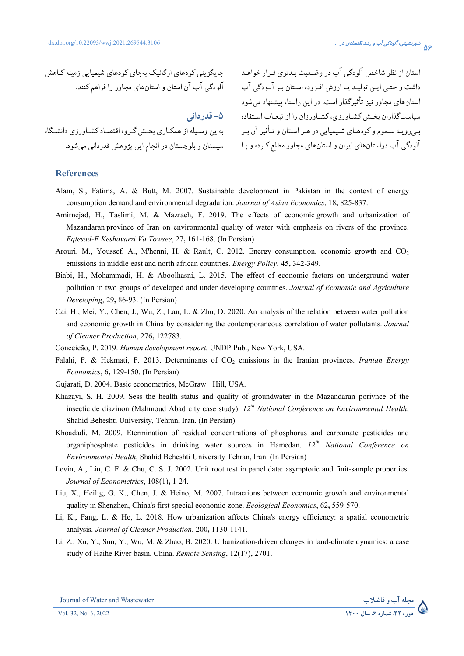جایگزینی کودهای ارگانیک بهجای کودهای شیمیایی زمینه کـاهش الودگی اب ان استان و استانهای مجاور را فراهم کنند.

**)>6Q 5I** هاین وسـیله از همکـاری بخـش گـروه اقتصـاد کشـاورزی دانشـگاه  $\ddot{\cdot}$ 

استان از نظر شاخص آلودگی آب در وضـعیت بـدتری قـرار خواهـد  $\overline{\phantom{a}}$ داشت و حتـي ايـن توليـد يـا ارزش افـزوده اسـتان بـر الـودگي اب ستانهای مجاور نیز تاثیرگذار است. در این راستا، پیشنهاد میشود  $\overline{\phantom{a}}$ سیاستگذاران بخـش کشــاورزی، کشــاورزان را از تبعـات اسـتفاده بـیرویـه سـموم و کودهـای شـیمیایی در هـر اسـتان و تـاثیر ان بـر الودگی اب دراستانهای ایران و استانهای مجاور مطلع کـرده و بـا سیستان و بلوچستان در انجام این پژوهش قدردانی میشود.

#### **References**

- Alam, S., Fatima, A. & Butt, M. 2007. Sustainable development in Pakistan in the context of energy consumption demand and environmental degradation. *Journal of Asian Economics*, 18**,** 825-837.
- Amirnejad, H., Taslimi, M. & Mazraeh, F. 2019. The effects of economic growth and urbanization of Mazandaran province of Iran on environmental quality of water with emphasis on rivers of the province. *Eqtesad-E Keshavarzi Va Towsee*, 27**,** 161-168. (In Persian)
- Arouri, M., Youssef, A., M'henni, H. & Rault, C. 2012. Energy consumption, economic growth and CO<sub>2</sub> emissions in middle east and north african countries. *Energy Policy*, 45**,** 342-349.
- Biabi, H., Mohammadi, H. & Aboolhasni, L. 2015. The effect of economic factors on underground water pollution in two groups of developed and under developing countries. *Journal of Economic and Agriculture Developing*, 29**,** 86-93. (In Persian)
- Cai, H., Mei, Y., Chen, J., Wu, Z., Lan, L. & Zhu, D. 2020. An analysis of the relation between water pollution and economic growth in China by considering the contemporaneous correlation of water pollutants. *Journal of Cleaner Production*, 276**,** 122783.
- Conceicão, P. 2019. *Human development report.* UNDP Pub., New York, USA.
- Falahi, F. & Hekmati, F. 2013. Determinants of CO<sub>2</sub> emissions in the Iranian provinces. *Iranian Energy Economics*, 6**,** 129-150. (In Persian)
- Gujarati, D. 2004. Basic econometrics, McGraw-Hill, USA.
- Khazayi, S. H. 2009. Sess the health status and quality of groundwater in the Mazandaran porivnce of the insecticide diazinon (Mahmoud Abad city case study). *12th National Conference on Environmental Health*, Shahid Beheshti University, Tehran, Iran. (In Persian)
- Khoadadi, M. 2009. Etermination of residual concentrations of phosphorus and carbamate pesticides and organiphosphate pesticides in drinking water sources in Hamedan. *12th National Conference on Environmental Health*, Shahid Beheshti University Tehran, Iran. (In Persian)
- Levin, A., Lin, C. F. & Chu, C. S. J. 2002. Unit root test in panel data: asymptotic and finit-sample properties. *Journal of Econometrics*, 108(1)**,** 1-24.
- Liu, X., Heilig, G. K., Chen, J. & Heino, M. 2007. Intractions between economic growth and environmental quality in Shenzhen, China's first special economic zone. *Ecological Economics*, 62**,** 559-570.
- Li, K., Fang, L. & He, L. 2018. How urbanization affects China's energy efficiency: a spatial econometric analysis. *Journal of Cleaner Production*, 200**,** 1130-1141.
- Li, Z., Xu, Y., Sun, Y., Wu, M. & Zhao, B. 2020. Urbanization-driven changes in land-climate dynamics: a case study of Haihe River basin, China. *Remote Sensing*, 12(17)**,** 2701.

Journal of Water and Wastewater **-**